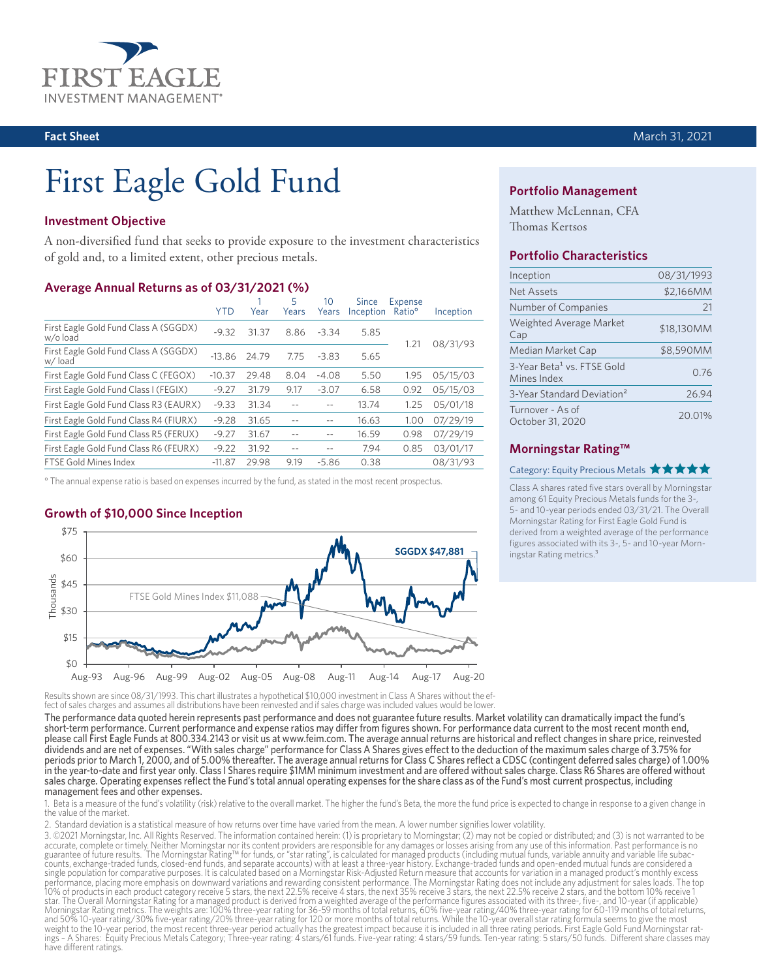

# First Eagle Gold Fund

## **Investment Objective**

A non-diversified fund that seeks to provide exposure to the investment characteristics of gold and, to a limited extent, other precious metals.

#### **Average Annual Returns as of 03/31/2021 (%)**

| <b>YTD</b> | Year  | 5<br>Years | 10<br>Years | Since | Expense<br>Ratio <sup>o</sup> | Inception         |
|------------|-------|------------|-------------|-------|-------------------------------|-------------------|
| $-9.32$    | 31.37 | 8.86       | $-3.34$     | 5.85  |                               |                   |
| $-13.86$   | 24.79 | 7.75       | $-3.83$     | 5.65  |                               | 08/31/93          |
| $-10.37$   | 29.48 | 8.04       | $-4.08$     | 5.50  | 1.95                          | 05/15/03          |
| $-9.27$    | 31.79 | 9.17       | $-3.07$     | 6.58  | 0.92                          | 05/15/03          |
| $-9.33$    | 31.34 |            |             | 13.74 | 1.25                          | 05/01/18          |
| $-9.28$    | 31.65 |            | $- -$       | 16.63 | 1.00                          | 07/29/19          |
| $-9.27$    | 31.67 |            |             | 16.59 | 0.98                          | 07/29/19          |
| $-9.22$    | 31.92 | --         | $-$         | 7.94  | 0.85                          | 03/01/17          |
| $-11.87$   | 29.98 | 9.19       | $-5.86$     | 0.38  |                               | 08/31/93          |
|            |       |            |             |       |                               | Inception<br>1.21 |

° The annual expense ratio is based on expenses incurred by the fund, as stated in the most recent prospectus.

# **Growth of \$10,000 Since Inception**



Results shown are since 08/31/1993. This chart illustrates a hypothetical \$10,000 investment in Class A Shares without the ef fect of sales charges and assumes all distributions have been reinvested and if sales charge was included values would be lower.

The performance data quoted herein represents past performance and does not guarantee future results. Market volatility can dramatically impact the fund's short-term performance. Current performance and expense ratios may differ from figures shown. For performance data current to the most recent month end, please call First Eagle Funds at 800.334.2143 or visit us at www.feim.com. The average annual returns are historical and reflect changes in share price, reinvested dividends and are net of expenses. "With sales charge" performance for Class A Shares gives effect to the deduction of the maximum sales charge of 3.75% for periods prior to March 1, 2000, and of 5.00% thereafter. The average annual returns for Class C Shares reflect a CDSC (contingent deferred sales charge) of 1.00% in the year-to-date and first year only. Class I Shares require \$1MM minimum investment and are offered without sales charge. Class R6 Shares are offered without sales charge. Operating expenses reflect the Fund's total annual operating expenses for the share class as of the Fund's most current prospectus, including management fees and other expenses.

Beta is a measure of the fund's volatility (risk) relative to the overall market. The higher the fund's Beta, the more the fund price is expected to change in response to a given change in the value of the market.

2. Standard deviation is a statistical measure of how returns over time have varied from the mean. A lower number signifies lower volatility.

3. ©2021 Morningstar, Inc. All Rights Reserved. The information contained herein: (1) is proprietary to Morningstar; (2) may not be copied or distributed; and (3) is not warranted to be accurate, complete or timely. Neither Morningstar nor its content providers are responsible for any damages or losses arising from any use of this information. Past performance is no guarantee of future results. The Morningstar Rating™ for funds, or "star rating", is calculated for managed products (including mutual funds, variable annuity and variable life subac-<br>counts, exchange-traded funds, closed single population for comparative purposes. It is calculated based on a Morningstar Risk-Adjusted Return measure that accounts for variation in a managed product's monthly excess<br>performance, placing more emphasis on downw star. The Overall Morningstar Rating for a managed product is derived from a weighted average of the performance figures associated with its three-, five-, and 10-year (if applicable)<br>Morningstar Rating metrics. The weight and 50% 10-year rating/30% five-year rating/20% three-year rating for 120 or more months of total returns. While the 10-year overall star rating formula seems to give the most<br>weight to the 10-year period, the most recent have different ratings.

#### **Portfolio Management**

Matthew McLennan, CFA Thomas Kertsos

#### **Portfolio Characteristics**

| Inception                                             | 08/31/1993 |
|-------------------------------------------------------|------------|
| <b>Net Assets</b>                                     | \$2,166MM  |
| Number of Companies                                   | 21         |
| <b>Weighted Average Market</b><br>Cap                 | \$18,130MM |
| Median Market Cap                                     | \$8,590MM  |
| 3-Year Beta <sup>1</sup> vs. FTSE Gold<br>Mines Index | 0.76       |
| 3-Year Standard Deviation <sup>2</sup>                | 26.94      |
| Turnover - As of<br>October 31, 2020                  | 20.01%     |

### **Morningstar Rating™**

#### Category: Equity Precious Metals **★★★★★**

Class A shares rated five stars overall by Morningstar among 61 Equity Precious Metals funds for the 3-, 5- and 10-year periods ended 03/31/21. The Overall Morningstar Rating for First Eagle Gold Fund is derived from a weighted average of the performance figures associated with its 3-, 5- and 10-year Morningstar Rating metrics.³